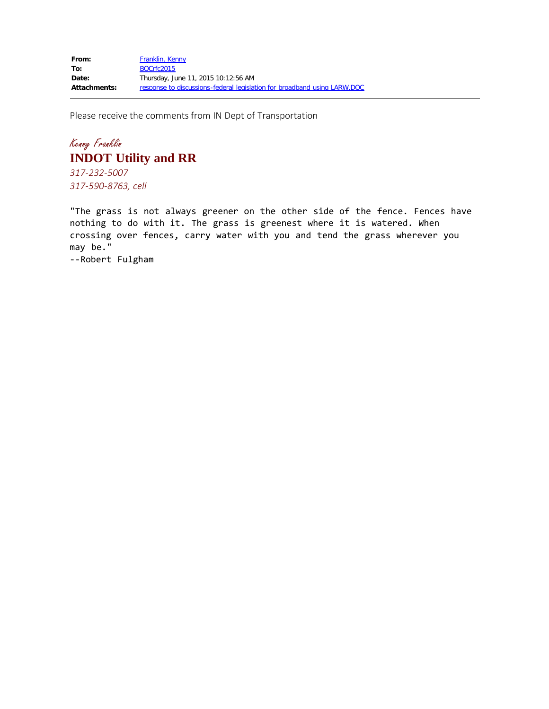Please receive the comments from IN Dept of Transportation

## Kenny Franklin **INDOT Utility and RR**

*317-232-5007 317-590-8763, cell*

"The grass is not always greener on the other side of the fence. Fences have nothing to do with it. The grass is greenest where it is watered. When crossing over fences, carry water with you and tend the grass wherever you may be."

--Robert Fulgham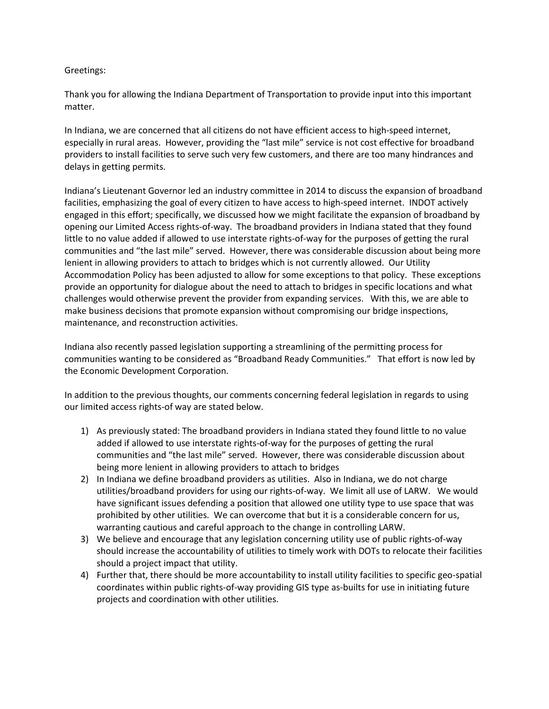## Greetings:

Thank you for allowing the Indiana Department of Transportation to provide input into this important matter.

In Indiana, we are concerned that all citizens do not have efficient access to high-speed internet, especially in rural areas. However, providing the "last mile" service is not cost effective for broadband providers to install facilities to serve such very few customers, and there are too many hindrances and delays in getting permits.

Indiana's Lieutenant Governor led an industry committee in 2014 to discuss the expansion of broadband facilities, emphasizing the goal of every citizen to have access to high-speed internet. INDOT actively engaged in this effort; specifically, we discussed how we might facilitate the expansion of broadband by opening our Limited Access rights-of-way. The broadband providers in Indiana stated that they found little to no value added if allowed to use interstate rights-of-way for the purposes of getting the rural communities and "the last mile" served. However, there was considerable discussion about being more lenient in allowing providers to attach to bridges which is not currently allowed. Our Utility Accommodation Policy has been adjusted to allow for some exceptions to that policy. These exceptions provide an opportunity for dialogue about the need to attach to bridges in specific locations and what challenges would otherwise prevent the provider from expanding services. With this, we are able to make business decisions that promote expansion without compromising our bridge inspections, maintenance, and reconstruction activities.

Indiana also recently passed legislation supporting a streamlining of the permitting process for communities wanting to be considered as "Broadband Ready Communities." That effort is now led by the Economic Development Corporation.

In addition to the previous thoughts, our comments concerning federal legislation in regards to using our limited access rights-of way are stated below.

- 1) As previously stated: The broadband providers in Indiana stated they found little to no value added if allowed to use interstate rights-of-way for the purposes of getting the rural communities and "the last mile" served. However, there was considerable discussion about being more lenient in allowing providers to attach to bridges
- 2) In Indiana we define broadband providers as utilities. Also in Indiana, we do not charge utilities/broadband providers for using our rights-of-way. We limit all use of LARW. We would have significant issues defending a position that allowed one utility type to use space that was prohibited by other utilities. We can overcome that but it is a considerable concern for us, warranting cautious and careful approach to the change in controlling LARW.
- 3) We believe and encourage that any legislation concerning utility use of public rights-of-way should increase the accountability of utilities to timely work with DOTs to relocate their facilities should a project impact that utility.
- 4) Further that, there should be more accountability to install utility facilities to specific geo-spatial coordinates within public rights-of-way providing GIS type as-builts for use in initiating future projects and coordination with other utilities.